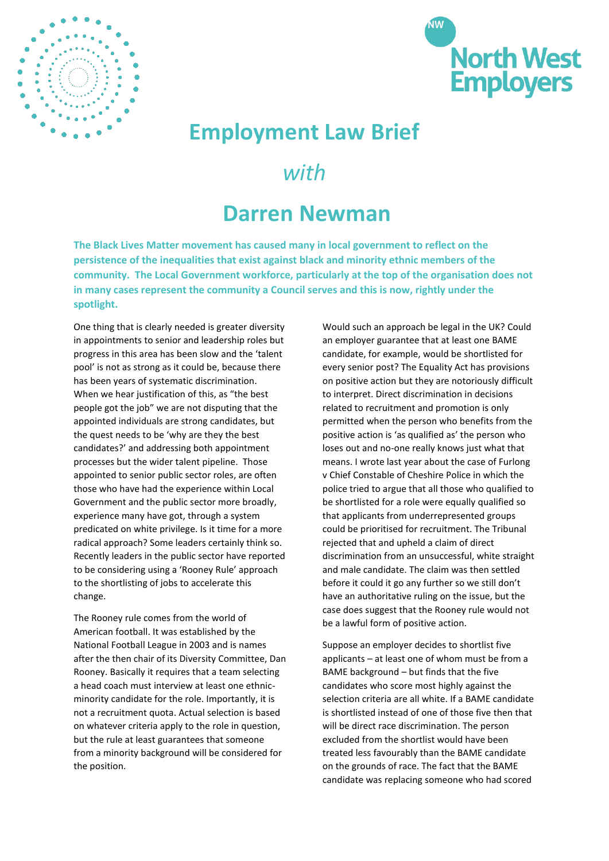



## **Employment Law Brief**

## *with*

## **Darren Newman**

**The Black Lives Matter movement has caused many in local government to reflect on the persistence of the inequalities that exist against black and minority ethnic members of the community. The Local Government workforce, particularly at the top of the organisation does not in many cases represent the community a Council serves and this is now, rightly under the spotlight.**

One thing that is clearly needed is greater diversity in appointments to senior and leadership roles but progress in this area has been slow and the 'talent pool' is not as strong as it could be, because there has been years of systematic discrimination. When we hear justification of this, as "the best people got the job" we are not disputing that the appointed individuals are strong candidates, but the quest needs to be 'why are they the best candidates?' and addressing both appointment processes but the wider talent pipeline. Those appointed to senior public sector roles, are often those who have had the experience within Local Government and the public sector more broadly, experience many have got, through a system predicated on white privilege. Is it time for a more radical approach? Some leaders certainly think so. Recently leaders in the public sector have reported to be considering using a 'Rooney Rule' approach to the shortlisting of jobs to accelerate this change.

The Rooney rule comes from the world of American football. It was established by the National Football League in 2003 and is names after the then chair of its Diversity Committee, Dan Rooney. Basically it requires that a team selecting a head coach must interview at least one ethnicminority candidate for the role. Importantly, it is not a recruitment quota. Actual selection is based on whatever criteria apply to the role in question, but the rule at least guarantees that someone from a minority background will be considered for the position.

Would such an approach be legal in the UK? Could an employer guarantee that at least one BAME candidate, for example, would be shortlisted for every senior post? The Equality Act has provisions on positive action but they are notoriously difficult to interpret. Direct discrimination in decisions related to recruitment and promotion is only permitted when the person who benefits from the positive action is 'as qualified as' the person who loses out and no-one really knows just what that means. I wrote last year about the case of Furlong v Chief Constable of Cheshire Police in which the police tried to argue that all those who qualified to be shortlisted for a role were equally qualified so that applicants from underrepresented groups could be prioritised for recruitment. The Tribunal rejected that and upheld a claim of direct discrimination from an unsuccessful, white straight and male candidate. The claim was then settled before it could it go any further so we still don't have an authoritative ruling on the issue, but the case does suggest that the Rooney rule would not be a lawful form of positive action.

Suppose an employer decides to shortlist five applicants – at least one of whom must be from a BAME background – but finds that the five candidates who score most highly against the selection criteria are all white. If a BAME candidate is shortlisted instead of one of those five then that will be direct race discrimination. The person excluded from the shortlist would have been treated less favourably than the BAME candidate on the grounds of race. The fact that the BAME candidate was replacing someone who had scored